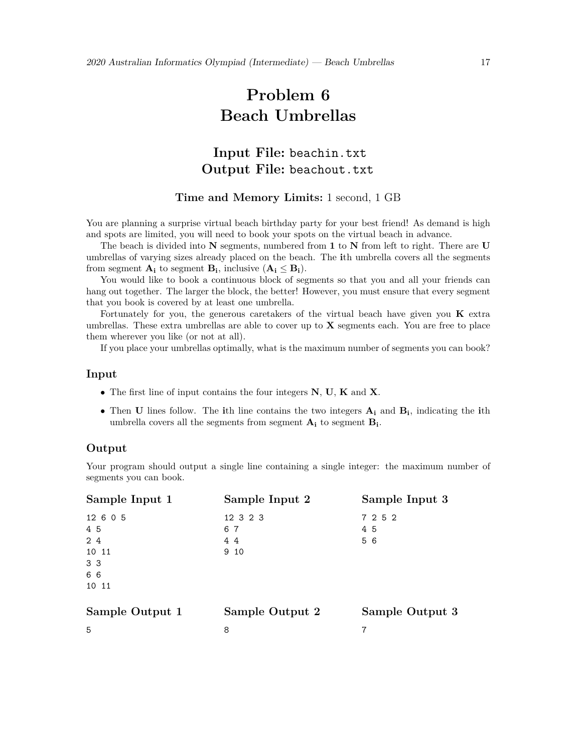# **Problem 6 Beach Umbrellas**

# **Input File:** beachin.txt **Output File:** beachout.txt

#### **Time and Memory Limits:** 1 second, 1 GB

You are planning a surprise virtual beach birthday party for your best friend! As demand is high and spots are limited, you will need to book your spots on the virtual beach in advance.

The beach is divided into **N** segments, numbered from **1** to **N** from left to right. There are **U** umbrellas of varying sizes already placed on the beach. The **i**th umbrella covers all the segments from segment  $\mathbf{A}_i$  to segment  $\mathbf{B}_i$ , inclusive  $(\mathbf{A}_i \leq \mathbf{B}_i)$ .

You would like to book a continuous block of segments so that you and all your friends can hang out together. The larger the block, the better! However, you must ensure that every segment that you book is covered by at least one umbrella.

Fortunately for you, the generous caretakers of the virtual beach have given you **K** extra umbrellas. These extra umbrellas are able to cover up to **X** segments each. You are free to place them wherever you like (or not at all).

If you place your umbrellas optimally, what is the maximum number of segments you can book?

#### **Input**

- *•* The first line of input contains the four integers **N**, **U**, **K** and **X**.
- *•* Then **U** lines follow. The **i**th line contains the two integers **A<sup>i</sup>** and **Bi**, indicating the **i**th umbrella covers all the segments from segment **A<sup>i</sup>** to segment **Bi**.

#### **Output**

Your program should output a single line containing a single integer: the maximum number of segments you can book.

| Sample Input 1  | Sample Input 2  | Sample Input 3  |
|-----------------|-----------------|-----------------|
| 12 6 0 5        | 12 3 2 3        | 7 2 5 2         |
| 4 5             | 67              | 45              |
| 24              | 44              | 5 6             |
| 10 11           | 9 10            |                 |
| 3 <sub>3</sub>  |                 |                 |
| 66              |                 |                 |
| 10 11           |                 |                 |
|                 |                 |                 |
| Sample Output 1 | Sample Output 2 | Sample Output 3 |
| 5               | 8               | 7               |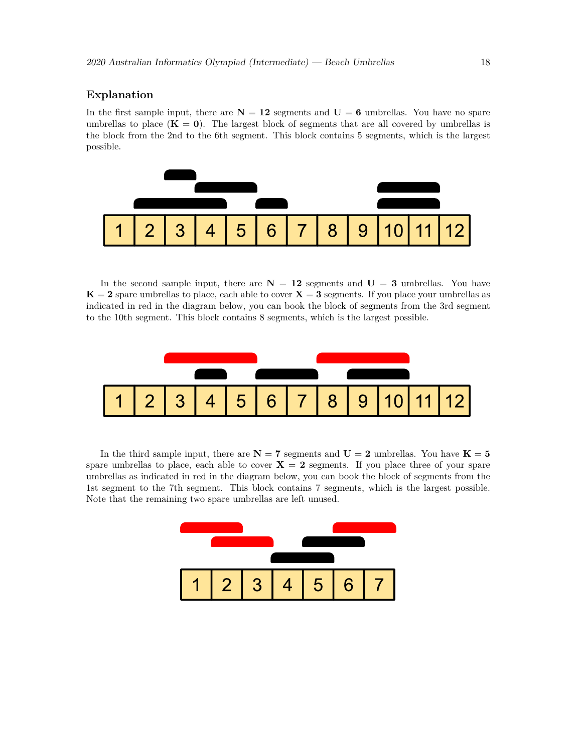### **Explanation**

In the first sample input, there are  $N = 12$  segments and  $U = 6$  umbrellas. You have no spare umbrellas to place  $(K = 0)$ . The largest block of segments that are all covered by umbrellas is the block from the 2nd to the 6th segment. This block contains 5 segments, which is the largest possible.



In the second sample input, there are  $N = 12$  segments and  $U = 3$  umbrellas. You have  $K = 2$  spare umbrellas to place, each able to cover  $X = 3$  segments. If you place your umbrellas as indicated in red in the diagram below, you can book the block of segments from the 3rd segment to the 10th segment. This block contains 8 segments, which is the largest possible.



In the third sample input, there are  $N = 7$  segments and  $U = 2$  umbrellas. You have  $K = 5$ spare umbrellas to place, each able to cover  $X = 2$  segments. If you place three of your spare umbrellas as indicated in red in the diagram below, you can book the block of segments from the 1st segment to the 7th segment. This block contains 7 segments, which is the largest possible. Note that the remaining two spare umbrellas are left unused.